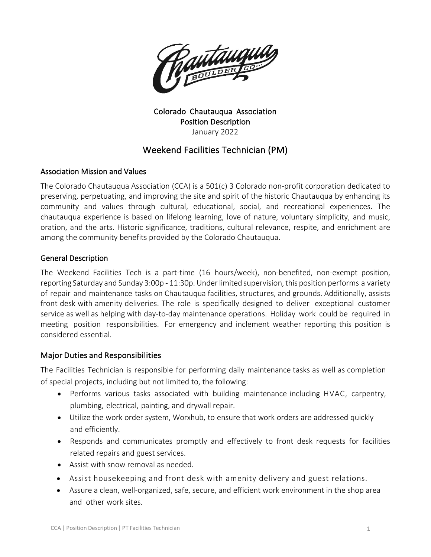

#### Colorado Chautauqua Association Position Description January 2022

# Weekend Facilities Technician (PM)

### Association Mission and Values

The Colorado Chautauqua Association (CCA) is a 501(c) 3 Colorado non-profit corporation dedicated to preserving, perpetuating, and improving the site and spirit of the historic Chautauqua by enhancing its community and values through cultural, educational, social, and recreational experiences. The chautauqua experience is based on lifelong learning, love of nature, voluntary simplicity, and music, oration, and the arts. Historic significance, traditions, cultural relevance, respite, and enrichment are among the community benefits provided by the Colorado Chautauqua.

### General Description

The Weekend Facilities Tech is a part-time (16 hours/week), non-benefited, non-exempt position, reporting Saturday and Sunday 3:00p - 11:30p. Underlimited supervision,this position performs a variety of repair and maintenance tasks on Chautauqua facilities, structures, and grounds. Additionally, assists front desk with amenity deliveries. The role is specifically designed to deliver exceptional customer service as well as helping with day-to-day maintenance operations. Holiday work could be required in meeting position responsibilities. For emergency and inclement weather reporting this position is considered essential.

### Major Duties and Responsibilities

The Facilities Technician is responsible for performing daily maintenance tasks as well as completion of special projects, including but not limited to, the following:

- Performs various tasks associated with building maintenance including HVAC, carpentry, plumbing, electrical, painting, and drywall repair.
- Utilize the work order system, Worxhub, to ensure that work orders are addressed quickly and efficiently.
- Responds and communicates promptly and effectively to front desk requests for facilities related repairs and guest services.
- Assist with snow removal as needed.
- Assist housekeeping and front desk with amenity delivery and guest relations.
- Assure a clean, well-organized, safe, secure, and efficient work environment in the shop area and other work sites.